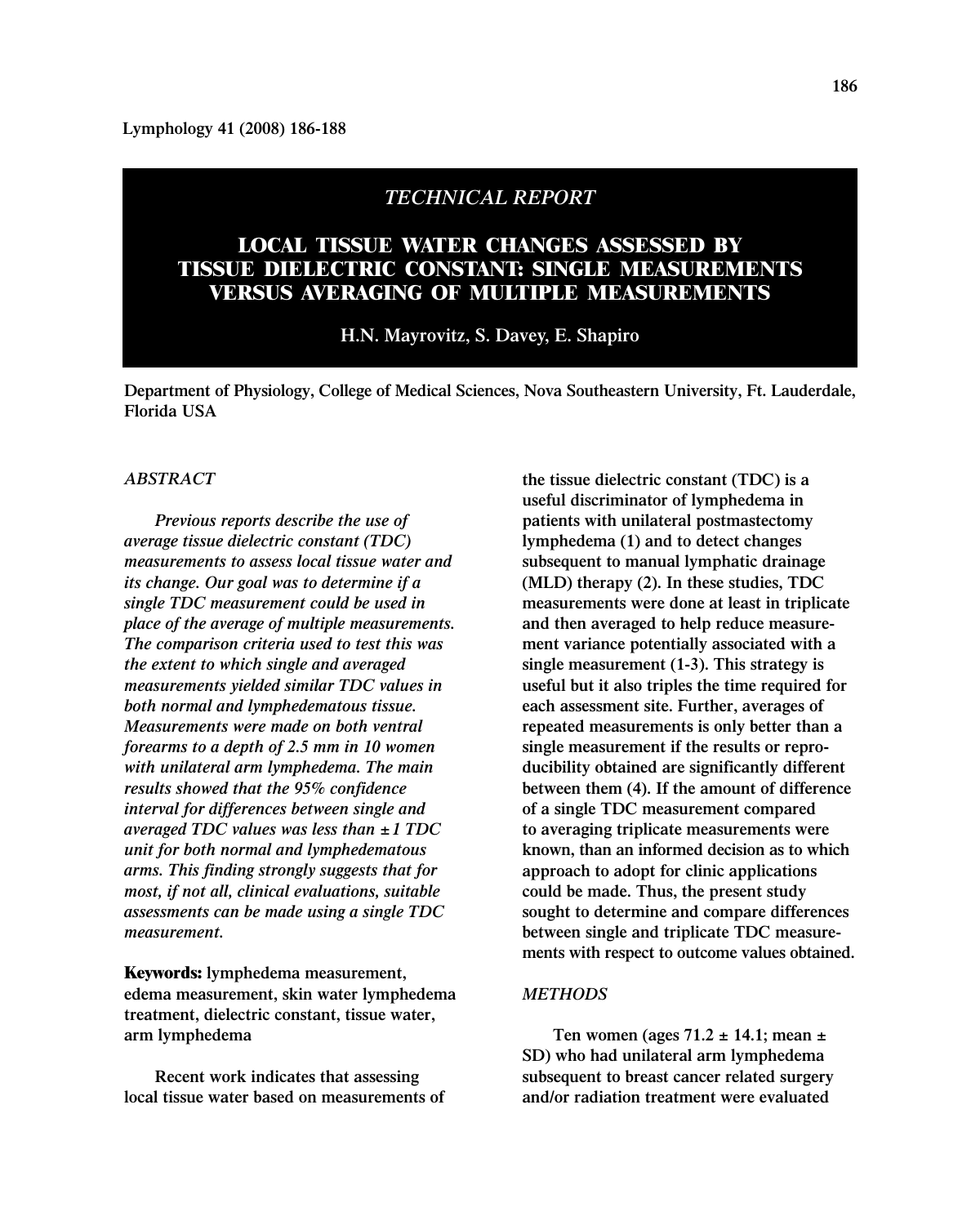**Lymphology 41 (2008) 186-188**

## *TECHNICAL REPORT*

# **LOCAL TISSUE WATER CHANGES ASSESSED BY TISSUE DIELECTRIC CONSTANT: SINGLE MEASUREMENTS VERSUS AVERAGING OF MULTIPLE MEASUREMENTS**

## **H.N. Mayrovitz, S. Davey, E. Shapiro**

**Department of Physiology, College of Medical Sciences, Nova Southeastern University, Ft. Lauderdale, Florida USA**

## *ABSTRACT*

*Previous reports describe the use of average tissue dielectric constant (TDC) measurements to assess local tissue water and its change. Our goal was to determine if a single TDC measurement could be used in place of the average of multiple measurements. The comparison criteria used to test this was the extent to which single and averaged measurements yielded similar TDC values in both normal and lymphedematous tissue. Measurements were made on both ventral forearms to a depth of 2.5 mm in 10 women with unilateral arm lymphedema. The main results showed that the 95% confidence interval for differences between single and averaged TDC values was less than ±1 TDC unit for both normal and lymphedematous arms. This finding strongly suggests that for most, if not all, clinical evaluations, suitable assessments can be made using a single TDC measurement.*

**Keywords: lymphedema measurement, edema measurement, skin water lymphedema treatment, dielectric constant, tissue water, arm lymphedema**

**Recent work indicates that assessing local tissue water based on measurements of** **the tissue dielectric constant (TDC) is a useful discriminator of lymphedema in patients with unilateral postmastectomy lymphedema (1) and to detect changes subsequent to manual lymphatic drainage (MLD) therapy (2). In these studies, TDC measurements were done at least in triplicate and then averaged to help reduce measurement variance potentially associated with a single measurement (1-3). This strategy is useful but it also triples the time required for each assessment site. Further, averages of repeated measurements is only better than a single measurement if the results or reproducibility obtained are significantly different between them (4). If the amount of difference of a single TDC measurement compared to averaging triplicate measurements were known, than an informed decision as to which approach to adopt for clinic applications could be made. Thus, the present study sought to determine and compare differences between single and triplicate TDC measurements with respect to outcome values obtained.**

## *METHODS*

**Ten women (ages 71.2 ± 14.1; mean ± SD) who had unilateral arm lymphedema subsequent to breast cancer related surgery and/or radiation treatment were evaluated**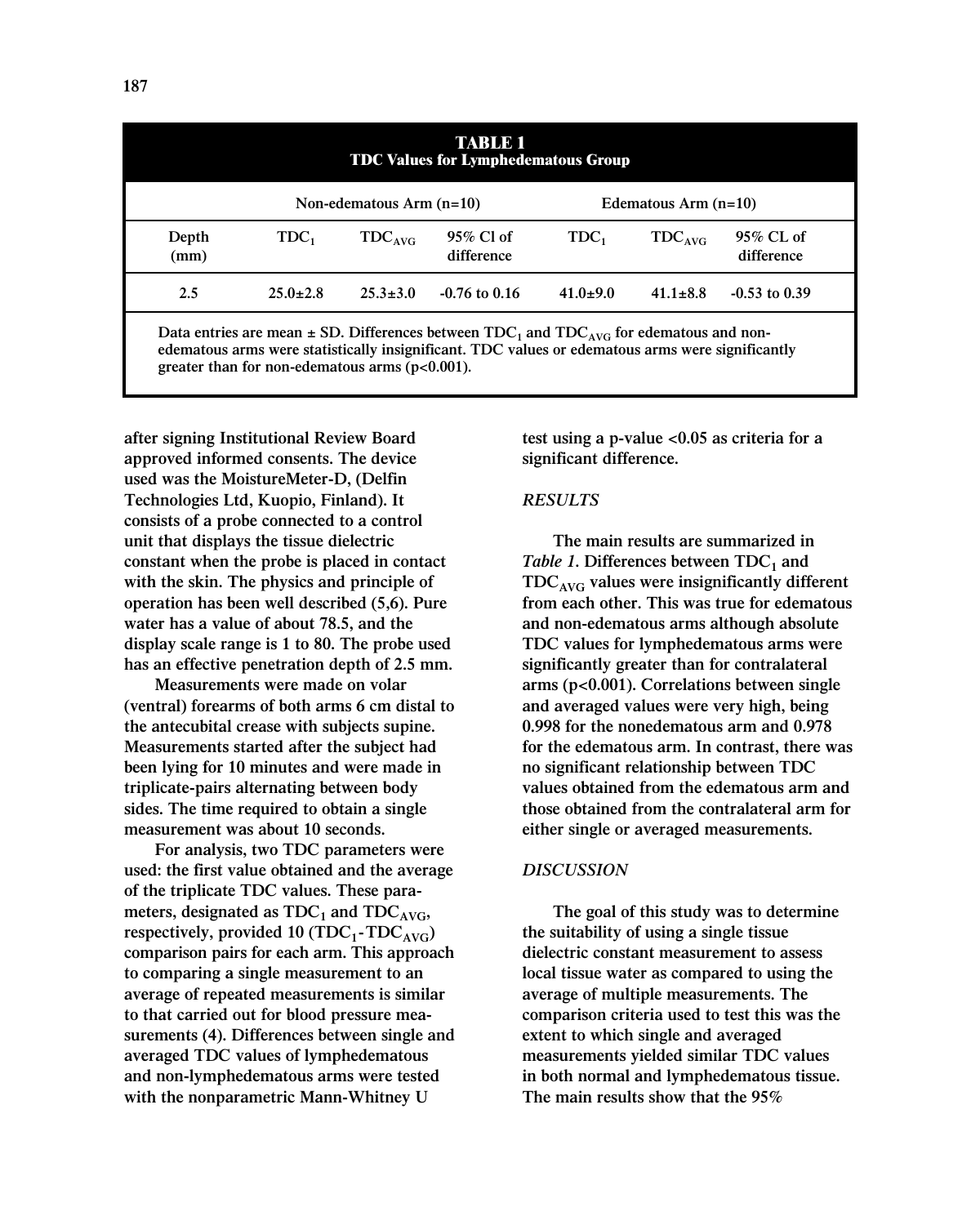| <b>TABLE 1</b><br><b>TDC Values for Lymphedematous Group</b>                                    |                            |                |                         |                        |                    |                         |
|-------------------------------------------------------------------------------------------------|----------------------------|----------------|-------------------------|------------------------|--------------------|-------------------------|
|                                                                                                 | Non-edematous $Arm (n=10)$ |                |                         | Edematous Arm $(n=10)$ |                    |                         |
| Depth<br>(mm)                                                                                   | $TDC_1$                    | $TDC_{AVG}$    | 95% Cl of<br>difference | $TDC_1$                | TDC <sub>AVG</sub> | 95% CL of<br>difference |
| 2.5                                                                                             | $25.0 \pm 2.8$             | $25.3 \pm 3.0$ | $-0.76$ to 0.16         | $41.0 \pm 9.0$         | $41.1 + 8.8$       | $-0.53$ to 0.39         |
| Data entries are mean $+$ SD. Differences between TDC, and TDC, $\ldots$ for edematous and non- |                            |                |                         |                        |                    |                         |

Data entries are mean  $\pm$  SD. Differences between  $\text{IDC}_1$  and  $\text{IDC}_\text{AVG}$  for edematous and non**edematous arms were statistically insignificant. TDC values or edematous arms were significantly greater than for non-edematous arms (p<0.001).**

**after signing Institutional Review Board approved informed consents. The device used was the MoistureMeter-D, (Delfin Technologies Ltd, Kuopio, Finland). It consists of a probe connected to a control unit that displays the tissue dielectric constant when the probe is placed in contact with the skin. The physics and principle of operation has been well described (5,6). Pure water has a value of about 78.5, and the display scale range is 1 to 80. The probe used has an effective penetration depth of 2.5 mm.**

**Measurements were made on volar (ventral) forearms of both arms 6 cm distal to the antecubital crease with subjects supine. Measurements started after the subject had been lying for 10 minutes and were made in triplicate-pairs alternating between body sides. The time required to obtain a single measurement was about 10 seconds.**

**For analysis, two TDC parameters were used: the first value obtained and the average of the triplicate TDC values. These para**meters, designated as  $TDC_1$  and  $TDC_{AVG}$ , respectively, provided 10  $(TDC_1-TDC_{AVG})$ **comparison pairs for each arm. This approach to comparing a single measurement to an average of repeated measurements is similar to that carried out for blood pressure measurements (4). Differences between single and averaged TDC values of lymphedematous and non-lymphedematous arms were tested with the nonparametric Mann-Whitney U**

**test using a p-value <0.05 as criteria for a significant difference.**

#### *RESULTS*

**The main results are summarized in** *Table 1***.** Differences between  $TDC<sub>1</sub>$  and **TDCAVG values were insignificantly different from each other. This was true for edematous and non-edematous arms although absolute TDC values for lymphedematous arms were significantly greater than for contralateral arms (p<0.001). Correlations between single and averaged values were very high, being 0.998 for the nonedematous arm and 0.978 for the edematous arm. In contrast, there was no significant relationship between TDC values obtained from the edematous arm and those obtained from the contralateral arm for either single or averaged measurements.**

## *DISCUSSION*

**The goal of this study was to determine the suitability of using a single tissue dielectric constant measurement to assess local tissue water as compared to using the average of multiple measurements. The comparison criteria used to test this was the extent to which single and averaged measurements yielded similar TDC values in both normal and lymphedematous tissue. The main results show that the 95%**